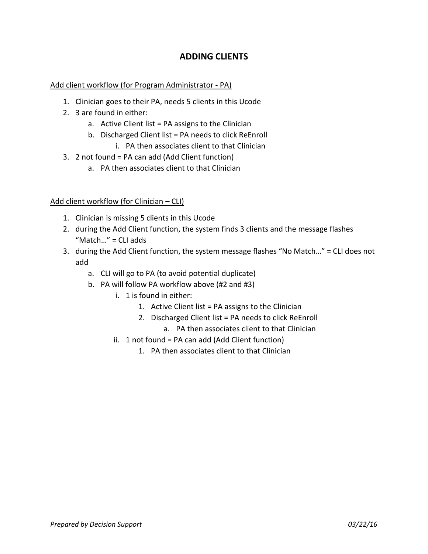# **ADDING CLIENTS**

## Add client workflow (for Program Administrator - PA)

- 1. Clinician goes to their PA, needs 5 clients in this Ucode
- 2. 3 are found in either:
	- a. Active Client list = PA assigns to the Clinician
	- b. Discharged Client list = PA needs to click ReEnroll
		- i. PA then associates client to that Clinician
- 3. 2 not found = PA can add (Add Client function)
	- a. PA then associates client to that Clinician

## Add client workflow (for Clinician – CLI)

- 1. Clinician is missing 5 clients in this Ucode
- 2. during the Add Client function, the system finds 3 clients and the message flashes "Match…" = CLI adds
- 3. during the Add Client function, the system message flashes "No Match…" = CLI does not add
	- a. CLI will go to PA (to avoid potential duplicate)
	- b. PA will follow PA workflow above (#2 and #3)
		- i. 1 is found in either:
			- 1. Active Client list = PA assigns to the Clinician
			- 2. Discharged Client list = PA needs to click ReEnroll
				- a. PA then associates client to that Clinician
		- ii. 1 not found = PA can add (Add Client function)
			- 1. PA then associates client to that Clinician